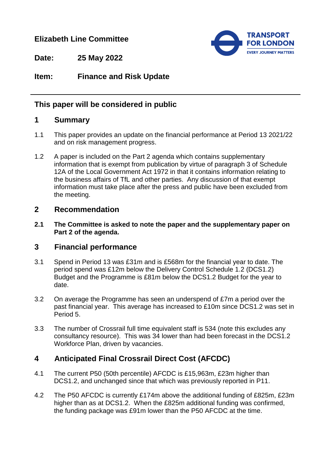# **Elizabeth Line Committee**



**Date: 25 May 2022**

# **Item: Finance and Risk Update**

## **This paper will be considered in public**

### **1 Summary**

- 1.1 This paper provides an update on the financial performance at Period 13 2021/22 and on risk management progress.
- 1.2 A paper is included on the Part 2 agenda which contains supplementary information that is exempt from publication by virtue of paragraph 3 of Schedule 12A of the Local Government Act 1972 in that it contains information relating to the business affairs of TfL and other parties. Any discussion of that exempt information must take place after the press and public have been excluded from the meeting.

#### **2 Recommendation**

**2.1 The Committee is asked to note the paper and the supplementary paper on Part 2 of the agenda.**

### **3 Financial performance**

- 3.1 Spend in Period 13 was £31m and is £568m for the financial year to date. The period spend was £12m below the Delivery Control Schedule 1.2 (DCS1.2) Budget and the Programme is £81m below the DCS1.2 Budget for the year to date.
- 3.2 On average the Programme has seen an underspend of £7m a period over the past financial year. This average has increased to £10m since DCS1.2 was set in Period 5.
- 3.3 The number of Crossrail full time equivalent staff is 534 (note this excludes any consultancy resource). This was 34 lower than had been forecast in the DCS1.2 Workforce Plan, driven by vacancies.

# **4 Anticipated Final Crossrail Direct Cost (AFCDC)**

- 4.1 The current P50 (50th percentile) AFCDC is £15,963m, £23m higher than DCS1.2, and unchanged since that which was previously reported in P11.
- 4.2 The P50 AFCDC is currently £174m above the additional funding of £825m, £23m higher than as at DCS1.2. When the £825m additional funding was confirmed, the funding package was £91m lower than the P50 AFCDC at the time.